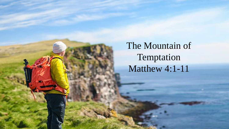The Mountain of Temptation Matthew 4:1-11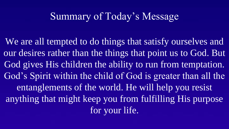# Summary of Today's Message

We are all tempted to do things that satisfy ourselves and our desires rather than the things that point us to God. But God gives His children the ability to run from temptation. God's Spirit within the child of God is greater than all the entanglements of the world. He will help you resist anything that might keep you from fulfilling His purpose for your life.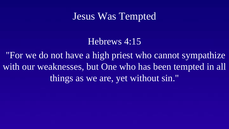#### Jesus Was Tempted

Hebrews 4:15

"For we do not have a high priest who cannot sympathize with our weaknesses, but One who has been tempted in all things as we are, yet without sin."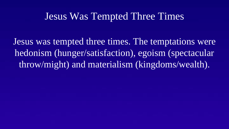#### Jesus Was Tempted Three Times

Jesus was tempted three times. The temptations were hedonism (hunger/satisfaction), egoism (spectacular throw/might) and materialism (kingdoms/wealth).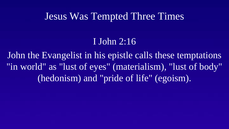#### Jesus Was Tempted Three Times

#### I John 2:16

John the Evangelist in his epistle calls these temptations "in world" as "lust of eyes" (materialism), "lust of body" (hedonism) and "pride of life" (egoism).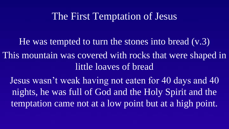## The First Temptation of Jesus

He was tempted to turn the stones into bread (v.3) This mountain was covered with rocks that were shaped in little loaves of bread

Jesus wasn't weak having not eaten for 40 days and 40 nights, he was full of God and the Holy Spirit and the temptation came not at a low point but at a high point.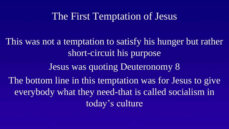## The First Temptation of Jesus

This was not a temptation to satisfy his hunger but rather short-circuit his purpose Jesus was quoting Deuteronomy 8 The bottom line in this temptation was for Jesus to give everybody what they need-that is called socialism in today's culture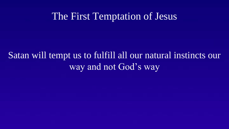#### The First Temptation of Jesus

# Satan will tempt us to fulfill all our natural instincts our way and not God's way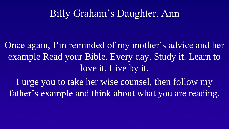# Billy Graham's Daughter, Ann

Once again, I'm reminded of my mother's advice and her example Read your Bible. Every day. Study it. Learn to love it. Live by it.

I urge you to take her wise counsel, then follow my father's example and think about what you are reading.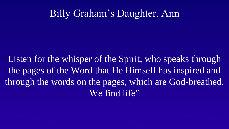# Billy Graham's Daughter, Ann

Listen for the whisper of the Spirit, who speaks through the pages of the Word that He Himself has inspired and through the words on the pages, which are God-breathed. We find life"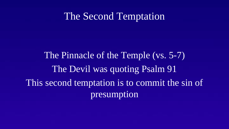#### The Second Temptation

The Pinnacle of the Temple (vs. 5-7) The Devil was quoting Psalm 91 This second temptation is to commit the sin of presumption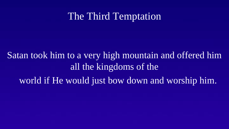# The Third Temptation

Satan took him to a very high mountain and offered him all the kingdoms of the world if He would just bow down and worship him.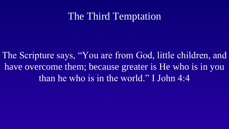# The Third Temptation

The Scripture says, "You are from God, little children, and have overcome them; because greater is He who is in you than he who is in the world." I John 4:4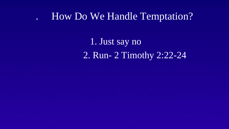## . How Do We Handle Temptation?

1. Just say no 2. Run- 2 Timothy 2:22-24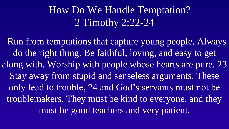# How Do We Handle Temptation? 2 Timothy 2:22-24

Run from temptations that capture young people. Always do the right thing. Be faithful, loving, and easy to get along with. Worship with people whose hearts are pure. 23 Stay away from stupid and senseless arguments. These only lead to trouble, 24 and God's servants must not be troublemakers. They must be kind to everyone, and they must be good teachers and very patient.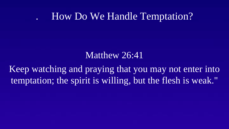# . How Do We Handle Temptation?

#### Matthew 26:41

Keep watching and praying that you may not enter into temptation; the spirit is willing, but the flesh is weak."